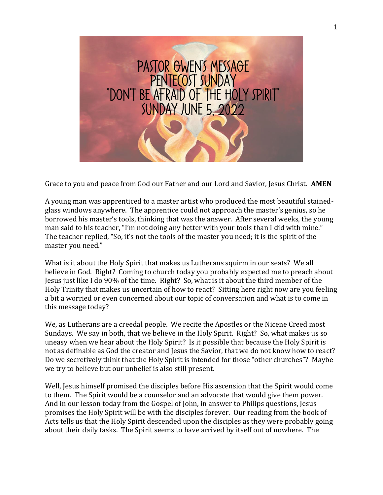

Grace to you and peace from God our Father and our Lord and Savior, Jesus Christ. **AMEN**

A young man was apprenticed to a master artist who produced the most beautiful stainedglass windows anywhere. The apprentice could not approach the master's genius, so he borrowed his master's tools, thinking that was the answer. After several weeks, the young man said to his teacher, "I'm not doing any better with your tools than I did with mine." The teacher replied, "So, it's not the tools of the master you need; it is the spirit of the master you need."

What is it about the Holy Spirit that makes us Lutherans squirm in our seats? We all believe in God. Right? Coming to church today you probably expected me to preach about Jesus just like I do 90% of the time. Right? So, what is it about the third member of the Holy Trinity that makes us uncertain of how to react? Sitting here right now are you feeling a bit a worried or even concerned about our topic of conversation and what is to come in this message today?

We, as Lutherans are a creedal people. We recite the Apostles or the Nicene Creed most Sundays. We say in both, that we believe in the Holy Spirit. Right? So, what makes us so uneasy when we hear about the Holy Spirit? Is it possible that because the Holy Spirit is not as definable as God the creator and Jesus the Savior, that we do not know how to react? Do we secretively think that the Holy Spirit is intended for those "other churches"? Maybe we try to believe but our unbelief is also still present.

Well, Jesus himself promised the disciples before His ascension that the Spirit would come to them. The Spirit would be a counselor and an advocate that would give them power. And in our lesson today from the Gospel of John, in answer to Philips questions, Jesus promises the Holy Spirit will be with the disciples forever. Our reading from the book of Acts tells us that the Holy Spirit descended upon the disciples as they were probably going about their daily tasks. The Spirit seems to have arrived by itself out of nowhere. The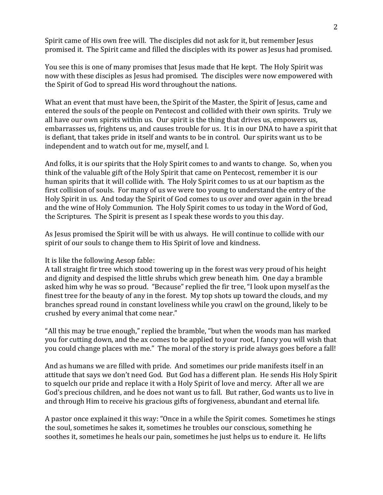Spirit came of His own free will. The disciples did not ask for it, but remember Jesus promised it. The Spirit came and filled the disciples with its power as Jesus had promised.

You see this is one of many promises that Jesus made that He kept. The Holy Spirit was now with these disciples as Jesus had promised. The disciples were now empowered with the Spirit of God to spread His word throughout the nations.

What an event that must have been, the Spirit of the Master, the Spirit of Jesus, came and entered the souls of the people on Pentecost and collided with their own spirits. Truly we all have our own spirits within us. Our spirit is the thing that drives us, empowers us, embarrasses us, frightens us, and causes trouble for us. It is in our DNA to have a spirit that is defiant, that takes pride in itself and wants to be in control. Our spirits want us to be independent and to watch out for me, myself, and I.

And folks, it is our spirits that the Holy Spirit comes to and wants to change. So, when you think of the valuable gift of the Holy Spirit that came on Pentecost, remember it is our human spirits that it will collide with. The Holy Spirit comes to us at our baptism as the first collision of souls. For many of us we were too young to understand the entry of the Holy Spirit in us. And today the Spirit of God comes to us over and over again in the bread and the wine of Holy Communion. The Holy Spirit comes to us today in the Word of God, the Scriptures. The Spirit is present as I speak these words to you this day.

As Jesus promised the Spirit will be with us always. He will continue to collide with our spirit of our souls to change them to His Spirit of love and kindness.

## It is like the following Aesop fable:

A tall straight fir tree which stood towering up in the forest was very proud of his height and dignity and despised the little shrubs which grew beneath him. One day a bramble asked him why he was so proud. "Because" replied the fir tree, "I look upon myself as the finest tree for the beauty of any in the forest. My top shots up toward the clouds, and my branches spread round in constant loveliness while you crawl on the ground, likely to be crushed by every animal that come near."

"All this may be true enough," replied the bramble, "but when the woods man has marked you for cutting down, and the ax comes to be applied to your root, I fancy you will wish that you could change places with me." The moral of the story is pride always goes before a fall!

And as humans we are filled with pride. And sometimes our pride manifests itself in an attitude that says we don't need God. But God has a different plan. He sends His Holy Spirit to squelch our pride and replace it with a Holy Spirit of love and mercy. After all we are God's precious children, and he does not want us to fall. But rather, God wants us to live in and through Him to receive his gracious gifts of forgiveness, abundant and eternal life.

A pastor once explained it this way: "Once in a while the Spirit comes. Sometimes he stings the soul, sometimes he sakes it, sometimes he troubles our conscious, something he soothes it, sometimes he heals our pain, sometimes he just helps us to endure it. He lifts